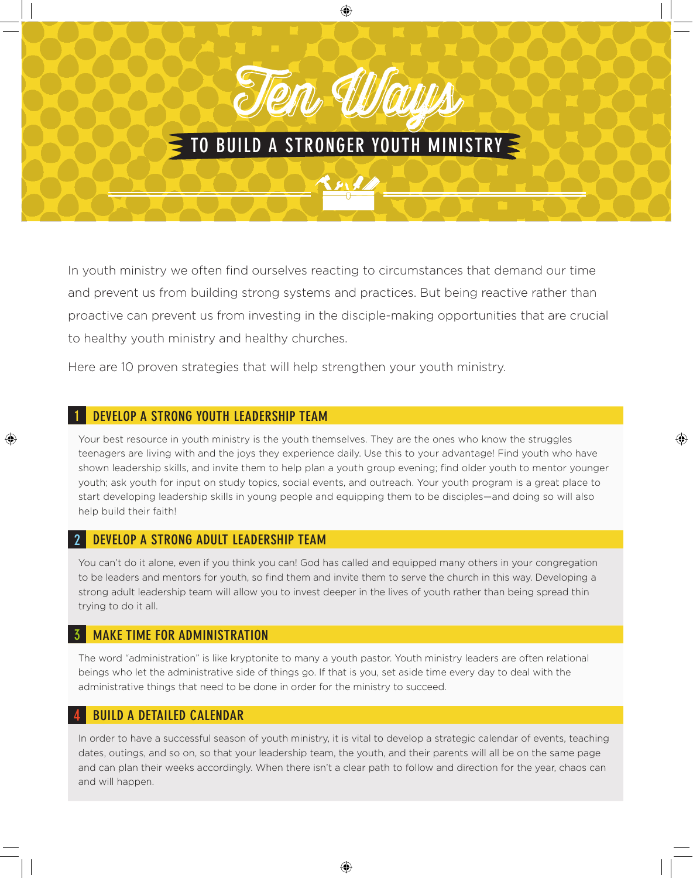# to build a stronger Youth Ministry

Ten Ways

In youth ministry we often find ourselves reacting to circumstances that demand our time and prevent us from building strong systems and practices. But being reactive rather than proactive can prevent us from investing in the disciple-making opportunities that are crucial to healthy youth ministry and healthy churches.

Here are 10 proven strategies that will help strengthen your youth ministry.

#### 1 Develop a Strong Youth Leadership Team

Your best resource in youth ministry is the youth themselves. They are the ones who know the struggles teenagers are living with and the joys they experience daily. Use this to your advantage! Find youth who have shown leadership skills, and invite them to help plan a youth group evening; find older youth to mentor younger youth; ask youth for input on study topics, social events, and outreach. Your youth program is a great place to start developing leadership skills in young people and equipping them to be disciples—and doing so will also help build their faith!

# DEVELOP A STRONG ADULT LEADERSHIP TEAM

You can't do it alone, even if you think you can! God has called and equipped many others in your congregation to be leaders and mentors for youth, so find them and invite them to serve the church in this way. Developing a strong adult leadership team will allow you to invest deeper in the lives of youth rather than being spread thin trying to do it all.

# **MAKE TIME FOR ADMINISTRATION**

The word "administration" is like kryptonite to many a youth pastor. Youth ministry leaders are often relational beings who let the administrative side of things go. If that is you, set aside time every day to deal with the administrative things that need to be done in order for the ministry to succeed.

#### **BUILD A DETAILED CALENDAR**

In order to have a successful season of youth ministry, it is vital to develop a strategic calendar of events, teaching dates, outings, and so on, so that your leadership team, the youth, and their parents will all be on the same page and can plan their weeks accordingly. When there isn't a clear path to follow and direction for the year, chaos can and will happen.